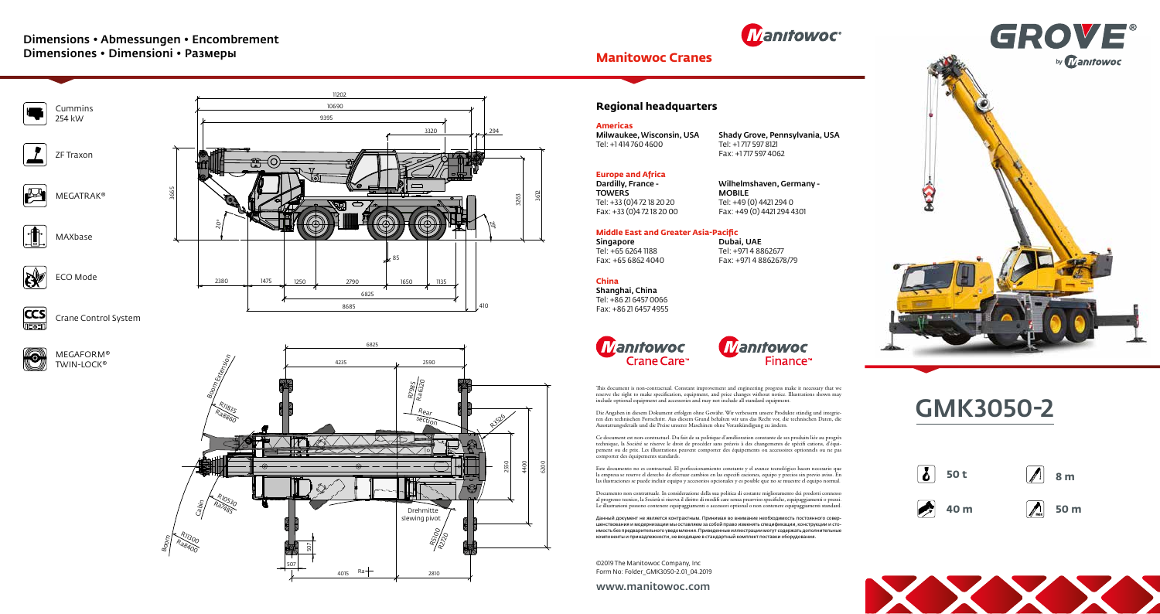



**40 m**



**50 m**

www.manitowoc.com





©2019 The Manitowoc Company, Inc Form No: Folder\_GMK3050-2.01\_04.2019

#### **Manitowoc Cranes**

Este documento no es contractual. El perfeccionamiento constante y el avance tecnológico hacen necesario que la empresa se reserve el derecho de efectuar cambios en las especifi caciones, equipo y precios sin previo aviso. En<br>las ilustraciones se puede incluir equipo y accesorios opcionales y es posible que no se muestre el equip

Documento non contrattuale. In considerazione della sua politica di costante miglioramento dei prodotti connesso<br>al progresso tecnico, la Società si riserva il diritto di modifi care senza preavviso specifiche, equipaggiam

Ce document est non-contractuel. Du fait de sa politique d'amélioration constante de ses produits liée au progrès technique, la Société se réserve le droit de procéder sans préavis à des changements de spécifi cations, d'équipement ou de prix. Les illustrations peuvent comporter des équipements ou accessoires optionnels ou ne pas comporter des équipements standards.



MEGAFORM® TWIN-LOCK<sup>®</sup>



Данный документ не является контрактным. Принимая во внимание необходимость постоянного совершенствования и модернизации мы оставляем за собой право изменять спецификации, конструкции и стоимость без предварительного уведомления. Приведенные иллюстрации могут содержать дополнительные компоненты и принадлежности, не входящие в стандартный комплект поставки оборудования.

#### **Regional headquarters**

**China** Shanghai, China

Tel: +86 21 6457 0066 Fax: +86 21 6457 4955

**Manifowoc** 

Crane Care<sup>®</sup>



This document is non-contractual. Constant improvement and engineering progress make it necessary that we<br>reserve the right to make specification, equipment, and price changes without notice. Illustrations shown may<br>includ

Die Angaben in diesem Dokument erfolgen ohne Gewähr. Wir verbessern unsere Produkte ständig und integrie-<br>ren den technischen Fortschritt. Aus diesem Grund behalten wir uns das Recht vor, die technischen Daten, die<br>Ausstat

#### **Middle East and Greater Asia-Pacific**

Singapore Tel: +65 6264 1188 Fax: +65 6862 4040

Dubai, UAE Tel: +971 4 8862677 Fax: +971 4 8862678/79

#### **Europe and Africa**

Dardilly, France - TOWERS Tel: +33 (0)4 72 18 20 20 Fax: +33 (0)4 72 18 20 00 Wilhelmshaven, Germany - MOBILE Tel: +49 (0) 4421 294 0 Fax: +49 (0) 4421 294 4301

#### **Americas**

Milwaukee, Wisconsin, USA Tel: +1 414 760 4600

Shady Grove, Pennsylvania, USA Tel: +1 717 597 8121 Fax: +1 717 597 4062

### Dimensions • Abmessungen • Encombrement Dimensiones • Dimensioni • Размеры



# GMK3050-2